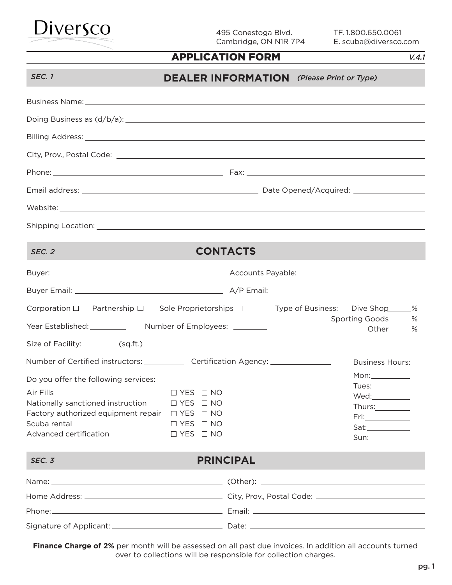

495 Conestoga Blvd. Cambridge, ON N1R 7P4 TF. 1.800.650.0061 E. scuba@diversco.com

#### APPLICATION FORM

*V.4.1*

| SEC. 1                                                                                                                                                                                                                         |                                                                                                                      | <b>DEALER INFORMATION</b> (Please Print or Type) |                                                                                       |
|--------------------------------------------------------------------------------------------------------------------------------------------------------------------------------------------------------------------------------|----------------------------------------------------------------------------------------------------------------------|--------------------------------------------------|---------------------------------------------------------------------------------------|
| Business Name: 1988 Contract Contract Contract Contract Contract Contract Contract Contract Contract Contract Contract Contract Contract Contract Contract Contract Contract Contract Contract Contract Contract Contract Cont |                                                                                                                      |                                                  |                                                                                       |
|                                                                                                                                                                                                                                |                                                                                                                      |                                                  |                                                                                       |
|                                                                                                                                                                                                                                |                                                                                                                      |                                                  |                                                                                       |
|                                                                                                                                                                                                                                |                                                                                                                      |                                                  |                                                                                       |
|                                                                                                                                                                                                                                |                                                                                                                      |                                                  |                                                                                       |
|                                                                                                                                                                                                                                |                                                                                                                      |                                                  |                                                                                       |
|                                                                                                                                                                                                                                |                                                                                                                      |                                                  |                                                                                       |
|                                                                                                                                                                                                                                |                                                                                                                      |                                                  |                                                                                       |
|                                                                                                                                                                                                                                |                                                                                                                      |                                                  |                                                                                       |
| SEC. 2                                                                                                                                                                                                                         |                                                                                                                      | <b>CONTACTS</b>                                  |                                                                                       |
|                                                                                                                                                                                                                                |                                                                                                                      |                                                  |                                                                                       |
|                                                                                                                                                                                                                                |                                                                                                                      |                                                  |                                                                                       |
| Corporation $\Box$ Partnership $\Box$ Sole Proprietorships $\Box$ Type of Business: Dive Shop_____%<br>Size of Facility: __________(sq.ft.)                                                                                    |                                                                                                                      |                                                  | Sporting Goods_____%<br>Other______%                                                  |
| Number of Certified instructors: ______________ Certification Agency: ___________                                                                                                                                              |                                                                                                                      |                                                  | <b>Business Hours:</b>                                                                |
| Do you offer the following services:<br>Air Fills<br>Nationally sanctioned instruction<br>Factory authorized equipment repair<br>Scuba rental<br>Advanced certification                                                        | $\Box$ YES $\Box$ NO<br>$\Box$ YES $\Box$ NO<br>$\Box$ YES $\Box$ NO<br>$\Box$ YES $\Box$ NO<br>$\Box$ YES $\Box$ NO |                                                  | Mon: $\_\_$<br>$\mathsf{Tues:}\_\_\_\_\_\_\_\_\_\_\_\_\_$<br>Thurs:__________<br>Sat: |
| SEC. 3                                                                                                                                                                                                                         |                                                                                                                      | <b>PRINCIPAL</b>                                 |                                                                                       |
|                                                                                                                                                                                                                                |                                                                                                                      |                                                  |                                                                                       |
|                                                                                                                                                                                                                                |                                                                                                                      |                                                  |                                                                                       |
|                                                                                                                                                                                                                                |                                                                                                                      |                                                  |                                                                                       |
|                                                                                                                                                                                                                                |                                                                                                                      |                                                  |                                                                                       |

Finance Charge of 2% per month will be assessed on all past due invoices. In addition all accounts turned over to collections will be responsible for collection charges.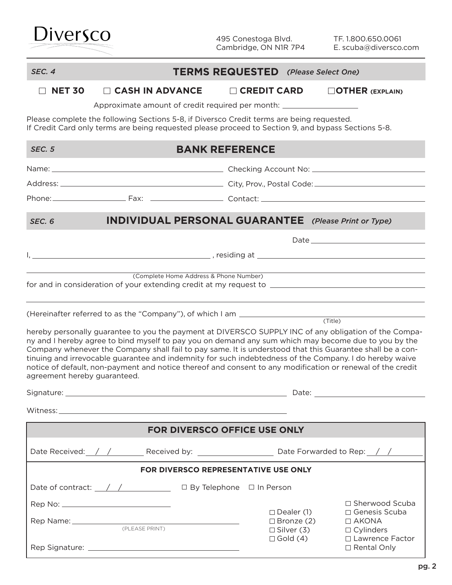

#### *SEC. 4* **TERMS REQUESTED** *(Please Select One)*

□ **NET 30** □ CASH IN ADVANCE □ CREDIT CARD □ OTHER (EXPLAIN)

Approximate amount of credit required per month:

Please complete the following Sections 5-8, if Diversco Credit terms are being requested. If Credit Card only terms are being requested please proceed to Section 9, and bypass Sections 5-8.

| <b>SEC. 5</b>                        |                                                                                                                                                                                                                                                                                                                                                                                                                                            | <b>BANK REFERENCE</b>                  |                                                                      |         |                                       |
|--------------------------------------|--------------------------------------------------------------------------------------------------------------------------------------------------------------------------------------------------------------------------------------------------------------------------------------------------------------------------------------------------------------------------------------------------------------------------------------------|----------------------------------------|----------------------------------------------------------------------|---------|---------------------------------------|
|                                      |                                                                                                                                                                                                                                                                                                                                                                                                                                            |                                        |                                                                      |         |                                       |
|                                      |                                                                                                                                                                                                                                                                                                                                                                                                                                            |                                        |                                                                      |         |                                       |
|                                      |                                                                                                                                                                                                                                                                                                                                                                                                                                            |                                        |                                                                      |         |                                       |
| SEC <sub>, 6</sub>                   | <b>INDIVIDUAL PERSONAL GUARANTEE</b> (Please Print or Type)                                                                                                                                                                                                                                                                                                                                                                                |                                        |                                                                      |         |                                       |
|                                      |                                                                                                                                                                                                                                                                                                                                                                                                                                            |                                        |                                                                      |         |                                       |
|                                      |                                                                                                                                                                                                                                                                                                                                                                                                                                            |                                        |                                                                      |         |                                       |
|                                      |                                                                                                                                                                                                                                                                                                                                                                                                                                            | (Complete Home Address & Phone Number) |                                                                      |         |                                       |
|                                      |                                                                                                                                                                                                                                                                                                                                                                                                                                            |                                        |                                                                      | (Title) |                                       |
| agreement hereby guaranteed.         | ny and I hereby agree to bind myself to pay you on demand any sum which may become due to you by the<br>Company whenever the Company shall fail to pay same. It is understood that this Guarantee shall be a con-<br>tinuing and irrevocable guarantee and indemnity for such indebtedness of the Company. I do hereby waive<br>notice of default, non-payment and notice thereof and consent to any modification or renewal of the credit |                                        |                                                                      |         |                                       |
| <b>FOR DIVERSCO OFFICE USE ONLY</b>  |                                                                                                                                                                                                                                                                                                                                                                                                                                            |                                        |                                                                      |         |                                       |
|                                      |                                                                                                                                                                                                                                                                                                                                                                                                                                            |                                        |                                                                      |         |                                       |
| FOR DIVERSCO REPRESENTATIVE USE ONLY |                                                                                                                                                                                                                                                                                                                                                                                                                                            |                                        |                                                                      |         |                                       |
|                                      | Date of contract: __/ /______________ □ By Telephone □ In Person                                                                                                                                                                                                                                                                                                                                                                           |                                        |                                                                      |         |                                       |
|                                      |                                                                                                                                                                                                                                                                                                                                                                                                                                            |                                        |                                                                      |         | □ Sherwood Scuba                      |
|                                      |                                                                                                                                                                                                                                                                                                                                                                                                                                            |                                        | $\Box$ Dealer (1)<br>□ Genesis Scuba<br>□ AKONA<br>$\Box$ Bronze (2) |         |                                       |
|                                      |                                                                                                                                                                                                                                                                                                                                                                                                                                            |                                        | $\Box$ Silver (3)<br>$\Box$ Gold (4)                                 |         | $\Box$ Cylinders<br>□ Lawrence Factor |
|                                      |                                                                                                                                                                                                                                                                                                                                                                                                                                            |                                        |                                                                      |         | □ Rental Only                         |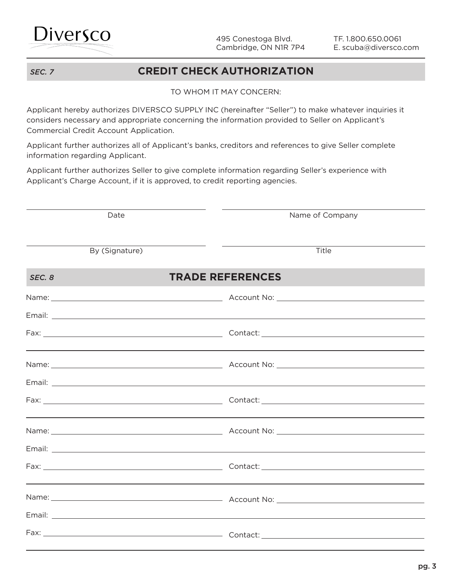

### *SEC. 7* **CREDIT CHECK AUTHORIZATION**

#### TO WHOM IT MAY CONCERN:

Applicant hereby authorizes DIVERSCO SUPPLY INC (hereinafter "Seller") to make whatever inquiries it considers necessary and appropriate concerning the information provided to Seller on Applicant's Commercial Credit Account Application.

Applicant further authorizes all of Applicant's banks, creditors and references to give Seller complete information regarding Applicant.

Applicant further authorizes Seller to give complete information regarding Seller's experience with Applicant's Charge Account, if it is approved, to credit reporting agencies.

| Date           | Name of Company         |
|----------------|-------------------------|
|                |                         |
| By (Signature) | Title                   |
| SEC, 8         | <b>TRADE REFERENCES</b> |
|                |                         |
|                |                         |
|                |                         |
|                |                         |
|                |                         |
|                |                         |
|                |                         |
|                |                         |
|                |                         |
|                |                         |
|                |                         |
|                |                         |